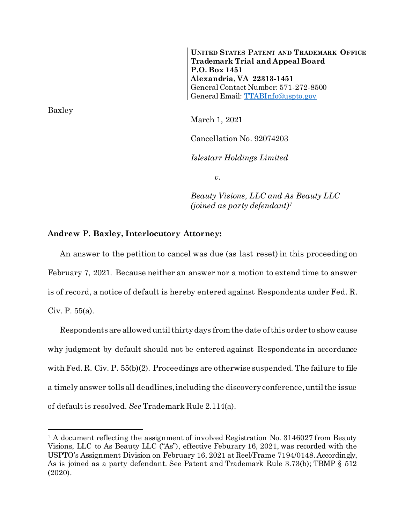**UNITED STATES PATENT AND TRADEMARK OFFICE Trademark Trial and Appeal Board P.O. Box 1451 Alexandria, VA 22313-1451** General Contact Number: 571-272-8500 General Email: [TTABInfo@uspto.gov](mailto:TTABInfo@uspto.gov)

March 1, 2021

Cancellation No. 92074203

*Islestarr Holdings Limited*

*v.*

*Beauty Visions, LLC and As Beauty LLC (joined as party defendant)<sup>1</sup>*

## **Andrew P. Baxley, Interlocutory Attorney:**

An answer to the petition to cancel was due (as last reset) in this proceeding on February 7, 2021. Because neither an answer nor a motion to extend time to answer is of record, a notice of default is hereby entered against Respondents under Fed. R. Civ. P. 55(a).

Respondentsare allowed until thirty days from the date of this order to show cause why judgment by default should not be entered against Respondents in accordance with Fed. R. Civ. P. 55(b)(2). Proceedings are otherwise suspended. The failure to file a timely answer tolls all deadlines, including the discovery conference, until the issue of default is resolved. *See* Trademark Rule 2.114(a).

Baxley

l

<sup>&</sup>lt;sup>1</sup> A document reflecting the assignment of involved Registration No.  $3146027$  from Beauty Visions, LLC to As Beauty LLC ("As"), effective Feburary 16, 2021, was recorded with the USPTO's Assignment Division on February 16, 2021 at Reel/Frame 7194/0148. Accordingly, As is joined as a party defendant. See Patent and Trademark Rule 3.73(b); TBMP § 512 (2020).